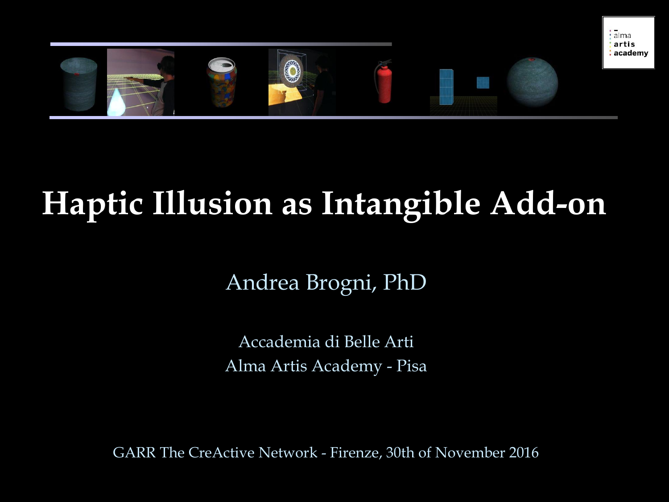

### **Haptic Illusion as Intangible Add-on**

Andrea Brogni, PhD

Accademia di Belle Arti Alma Artis Academy - Pisa

GARR The CreActive Network - Firenze, 30th of November 2016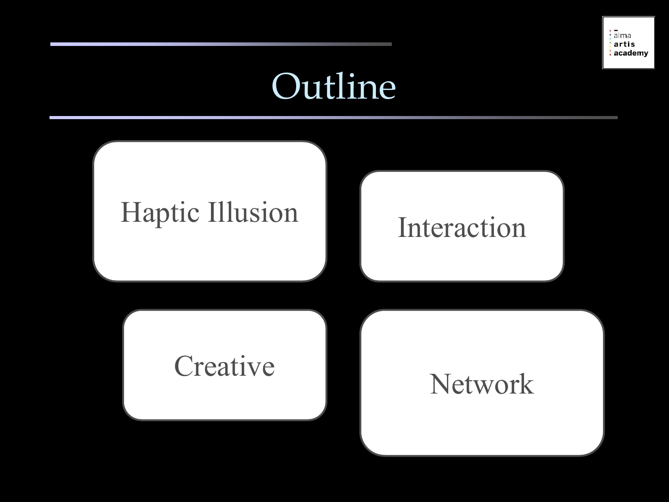

### Outline

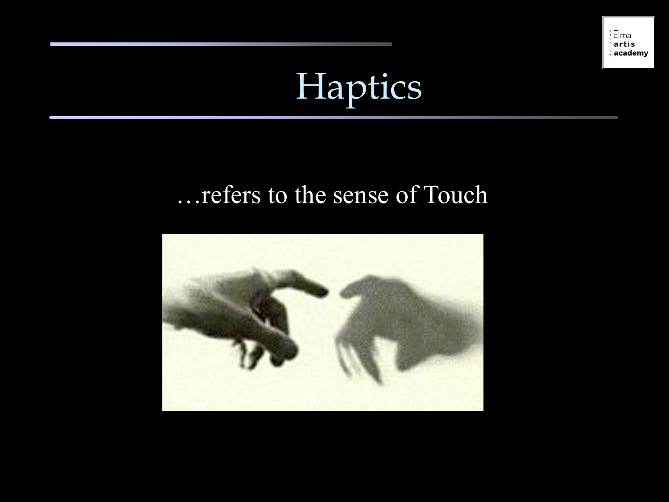

## Haptics

#### …refers to the sense of Touch

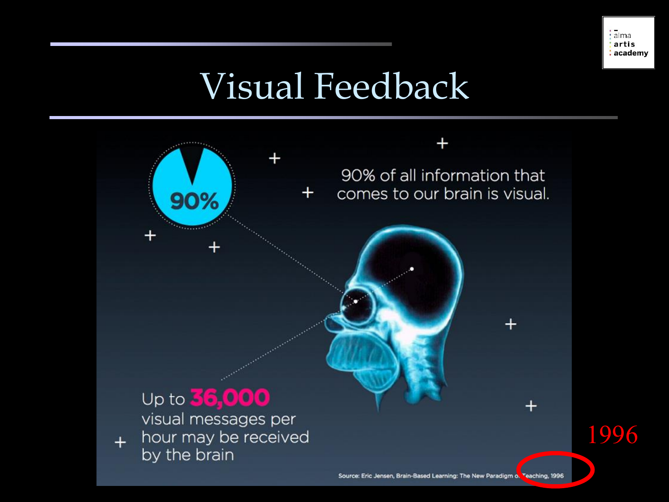### Visual Feedback

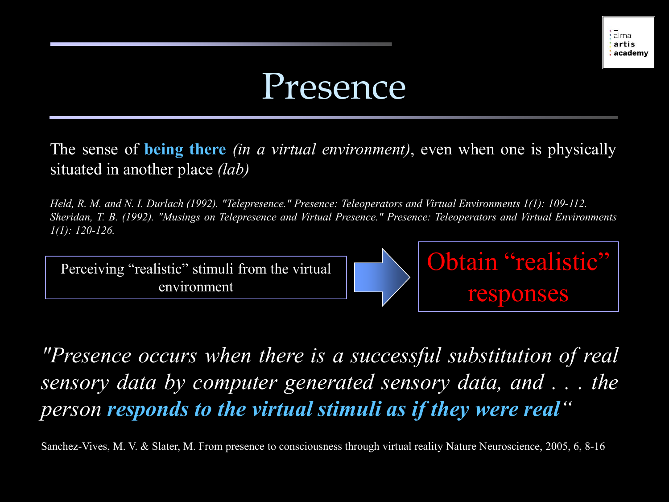#### Presence

The sense of **being there** *(in a virtual environment)*, even when one is physically situated in another place *(lab)*

Held, R. M. and N. I. Durlach (1992). "Telepresence." Presence: Teleoperators and Virtual Environments 1(1): 109-112. Sheridan, T. B. (1992). "Musings on Telepresence and Virtual Presence." Presence: Teleoperators and Virtual Environments *1(1): 120-126.*



*"Presence occurs when there is a successful substitution of real sensory data by computer generated sensory data, and . . . the person responds to the virtual stimuli as if they were real"*

Sanchez-Vives, M. V. & Slater, M. From presence to consciousness through virtual reality Nature Neuroscience, 2005, 6, 8-16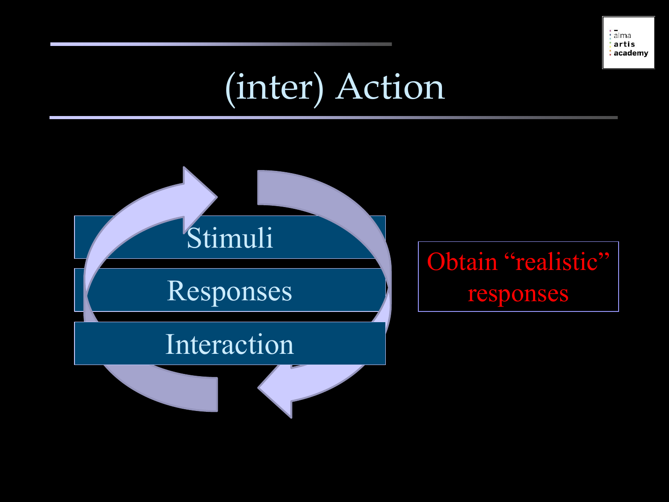

### (inter) Action

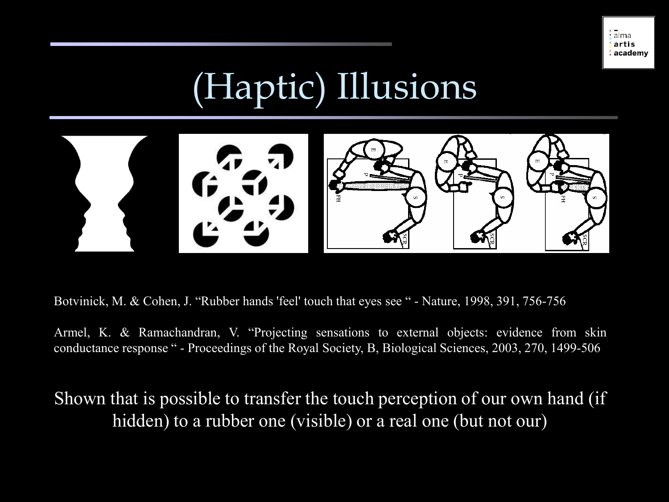

## (Haptic) Illusions



Botvinick, M. & Cohen, J. "Rubber hands 'feel' touch that eyes see " - Nature, 1998, 391, 756-756

Armel, K. & Ramachandran, V. "Projecting sensations to external objects: evidence from skin conductance response " - Proceedings of the Royal Society, B, Biological Sciences, 2003, 270, 1499-506

Shown that is possible to transfer the touch perception of our own hand (if hidden) to a rubber one (visible) or a real one (but not our)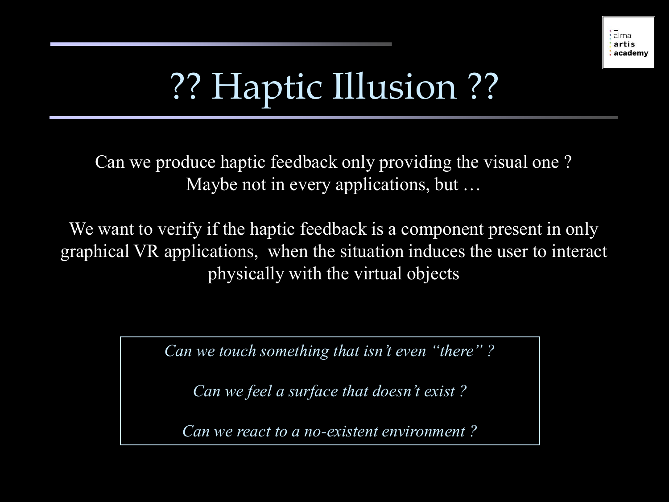![](_page_7_Picture_0.jpeg)

## ?? Haptic Illusion ??

Can we produce haptic feedback only providing the visual one ? Maybe not in every applications, but …

We want to verify if the haptic feedback is a component present in only graphical VR applications, when the situation induces the user to interact physically with the virtual objects

*Can we touch something that isn't even "there" ?*

*Can we feel a surface that doesn't exist ?*

*Can we react to a no-existent environment ?*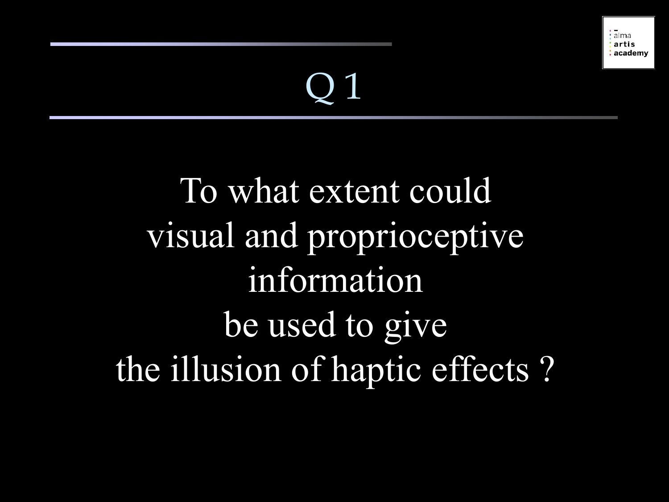## Q 1

## To what extent could visual and proprioceptive information be used to give the illusion of haptic effects ?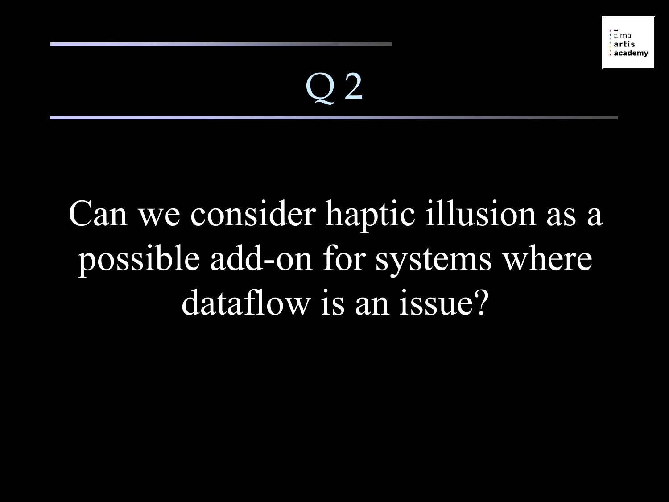## Q 2

### Can we consider haptic illusion as a possible add-on for systems where dataflow is an issue?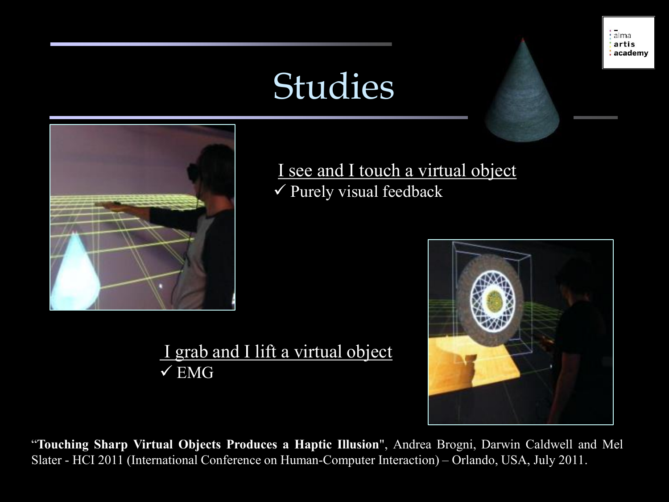### Studies

![](_page_10_Picture_1.jpeg)

I see and I touch a virtual object  $\checkmark$  Purely visual feedback

![](_page_10_Picture_3.jpeg)

![](_page_10_Picture_4.jpeg)

![](_page_10_Picture_6.jpeg)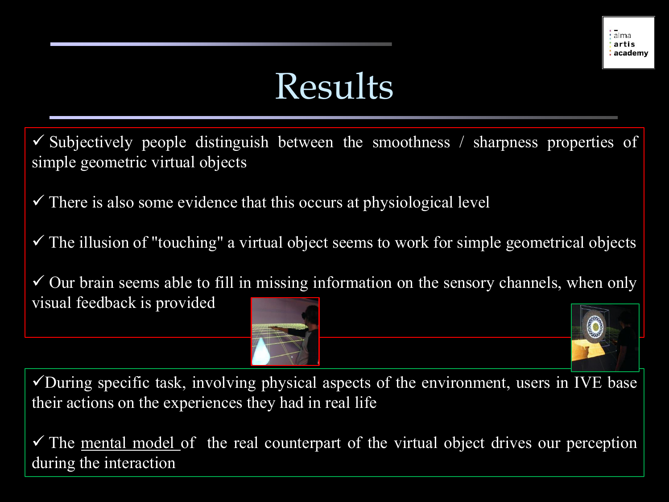### Results

- Subjectively people distinguish between the smoothness / sharpness properties of simple geometric virtual objects
- $\checkmark$  There is also some evidence that this occurs at physiological level
- $\checkmark$  The illusion of "touching" a virtual object seems to work for simple geometrical objects
- $\checkmark$  Our brain seems able to fill in missing information on the sensory channels, when only visual feedback is provided

 $\checkmark$ During specific task, involving physical aspects of the environment, users in IVE base their actions on the experiences they had in real life

 $\checkmark$  The <u>mental model</u> of the real counterpart of the virtual object drives our perception during the interaction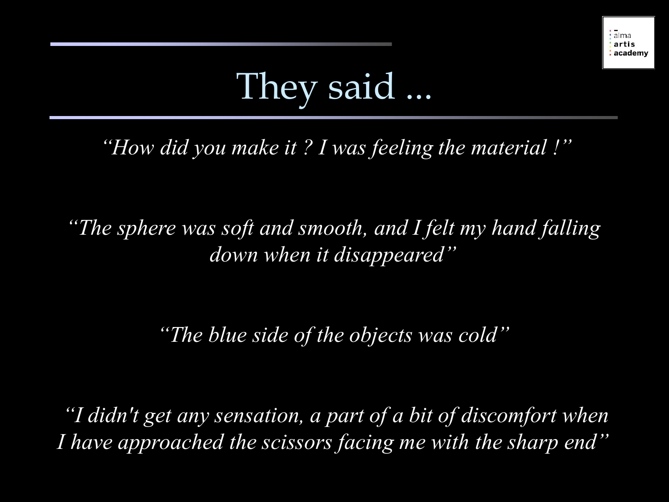## They said ...

*"How did you make it ? I was feeling the material !"*

*"The sphere was soft and smooth, and I felt my hand falling down when it disappeared"*

*"The blue side of the objects was cold"*

*"I didn't get any sensation, a part of a bit of discomfort when I have approached the scissors facing me with the sharp end"*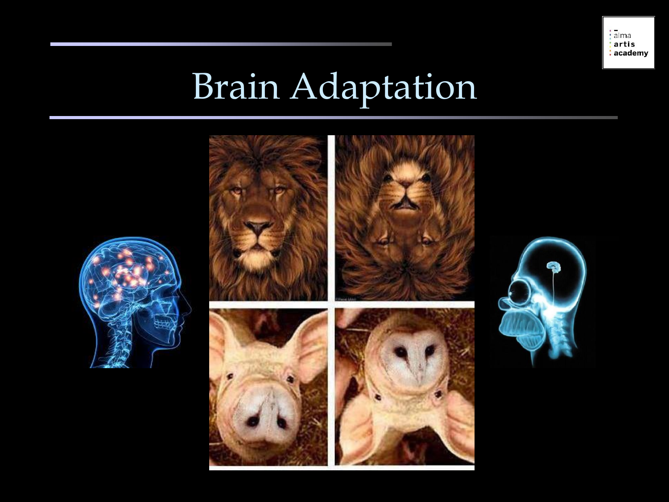![](_page_13_Picture_0.jpeg)

## Brain Adaptation

![](_page_13_Picture_2.jpeg)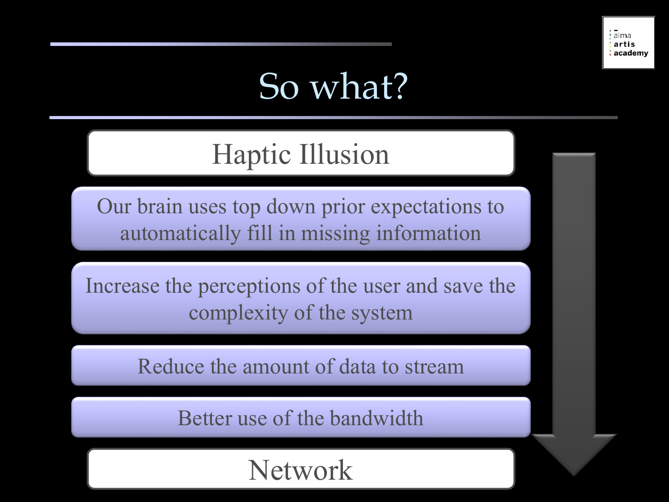### So what?

#### Haptic Illusion

Our brain uses top down prior expectations to automatically fill in missing information

Increase the perceptions of the user and save the complexity of the system

Reduce the amount of data to stream

Better use of the bandwidth

#### Network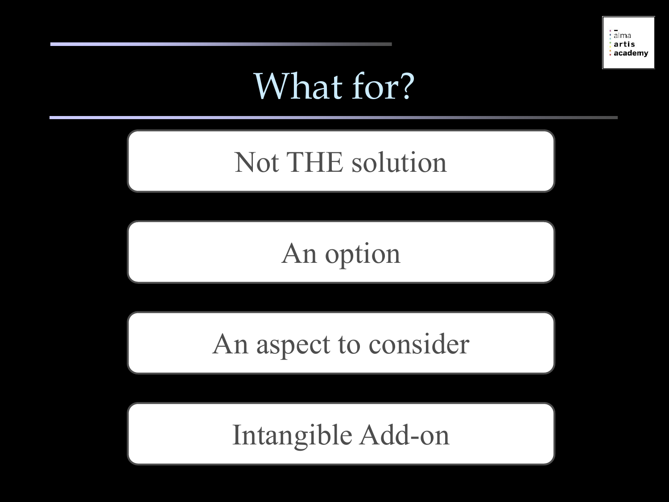### What for?

#### Not THE solution

#### An option

#### An aspect to consider

#### Intangible Add-on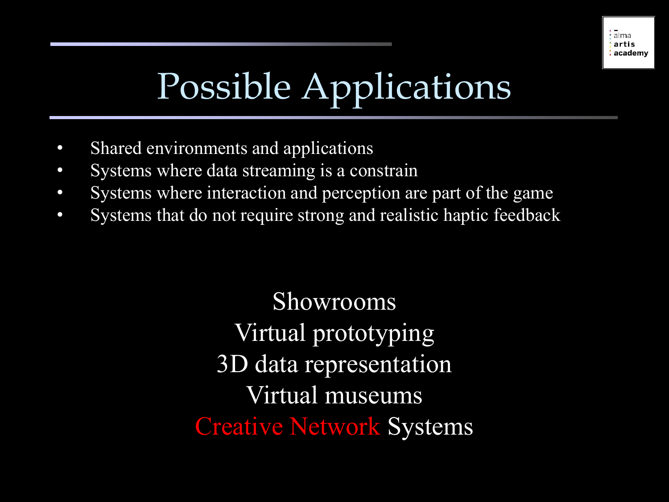# Possible Applications

- Shared environments and applications
- Systems where data streaming is a constrain
- Systems where interaction and perception are part of the game
- Systems that do not require strong and realistic haptic feedback

Showrooms Virtual prototyping 3D data representation Virtual museums Creative Network Systems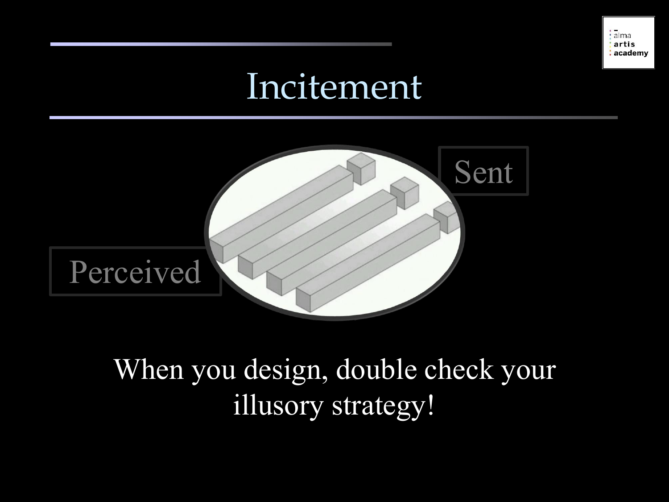#### Incitement

![](_page_17_Picture_2.jpeg)

#### When you design, double check your illusory strategy!